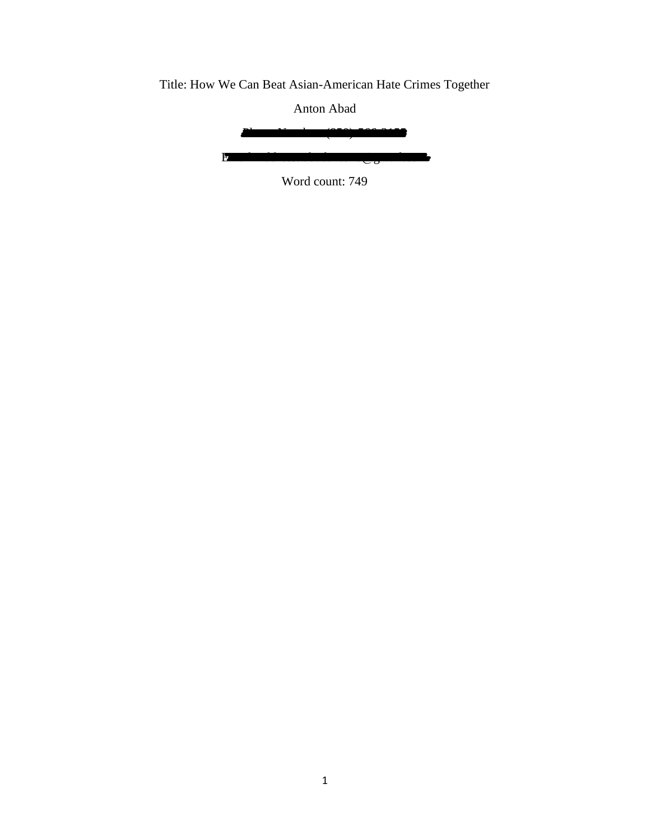Title: How We Can Beat Asian-American Hate Crimes Together

Anton Abad

Phone Number: (850)-566-3155 Email Address: abadanton6@gmail.com

Word count: 749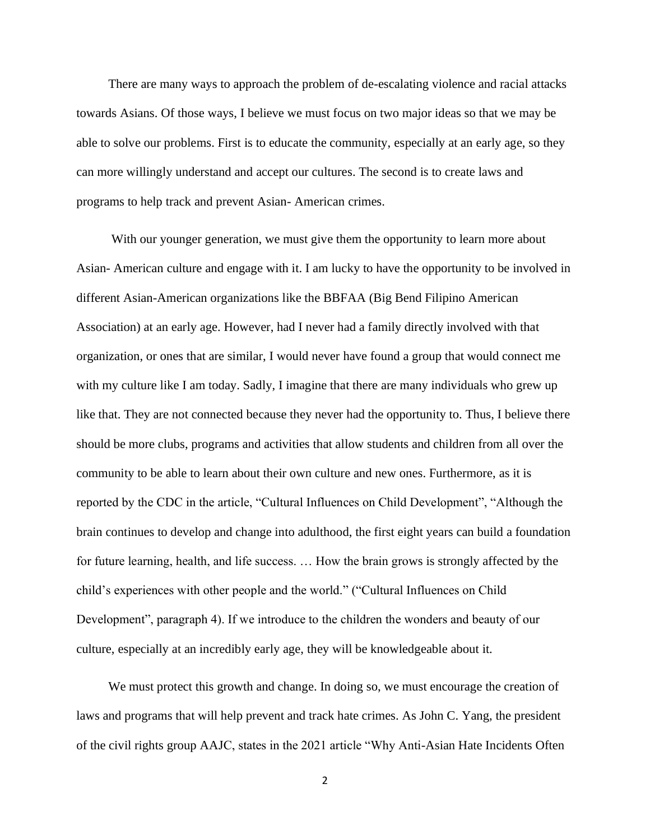There are many ways to approach the problem of de-escalating violence and racial attacks towards Asians. Of those ways, I believe we must focus on two major ideas so that we may be able to solve our problems. First is to educate the community, especially at an early age, so they can more willingly understand and accept our cultures. The second is to create laws and programs to help track and prevent Asian- American crimes.

With our younger generation, we must give them the opportunity to learn more about Asian- American culture and engage with it. I am lucky to have the opportunity to be involved in different Asian-American organizations like the BBFAA (Big Bend Filipino American Association) at an early age. However, had I never had a family directly involved with that organization, or ones that are similar, I would never have found a group that would connect me with my culture like I am today. Sadly, I imagine that there are many individuals who grew up like that. They are not connected because they never had the opportunity to. Thus, I believe there should be more clubs, programs and activities that allow students and children from all over the community to be able to learn about their own culture and new ones. Furthermore, as it is reported by the CDC in the article, "Cultural Influences on Child Development", "Although the brain continues to develop and change into adulthood, the first eight years can build a foundation for future learning, health, and life success. … How the brain grows is strongly affected by the child's experiences with other people and the world." ("Cultural Influences on Child Development", paragraph 4). If we introduce to the children the wonders and beauty of our culture, especially at an incredibly early age, they will be knowledgeable about it.

 We must protect this growth and change. In doing so, we must encourage the creation of laws and programs that will help prevent and track hate crimes. As John C. Yang, the president of the civil rights group AAJC, states in the 2021 article "Why Anti-Asian Hate Incidents Often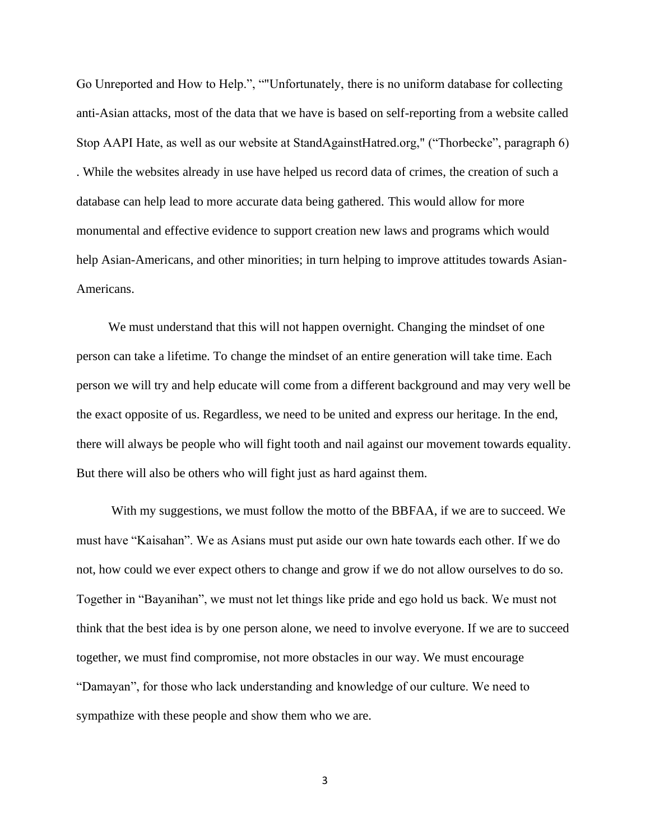Go Unreported and How to Help.", ""Unfortunately, there is no uniform database for collecting anti-Asian attacks, most of the data that we have is based on self-reporting from a website called Stop AAPI Hate, as well as our website at StandAgainstHatred.org," ("Thorbecke", paragraph 6) . While the websites already in use have helped us record data of crimes, the creation of such a database can help lead to more accurate data being gathered. This would allow for more monumental and effective evidence to support creation new laws and programs which would help Asian-Americans, and other minorities; in turn helping to improve attitudes towards Asian-Americans.

 We must understand that this will not happen overnight. Changing the mindset of one person can take a lifetime. To change the mindset of an entire generation will take time. Each person we will try and help educate will come from a different background and may very well be the exact opposite of us. Regardless, we need to be united and express our heritage. In the end, there will always be people who will fight tooth and nail against our movement towards equality. But there will also be others who will fight just as hard against them.

 With my suggestions, we must follow the motto of the BBFAA, if we are to succeed. We must have "Kaisahan". We as Asians must put aside our own hate towards each other. If we do not, how could we ever expect others to change and grow if we do not allow ourselves to do so. Together in "Bayanihan", we must not let things like pride and ego hold us back. We must not think that the best idea is by one person alone, we need to involve everyone. If we are to succeed together, we must find compromise, not more obstacles in our way. We must encourage "Damayan", for those who lack understanding and knowledge of our culture. We need to sympathize with these people and show them who we are.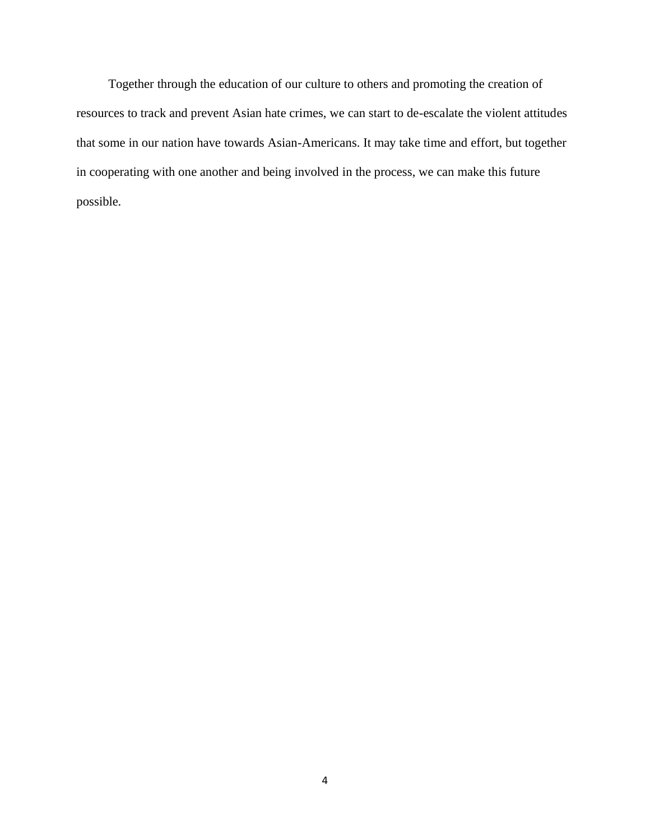Together through the education of our culture to others and promoting the creation of resources to track and prevent Asian hate crimes, we can start to de-escalate the violent attitudes that some in our nation have towards Asian-Americans. It may take time and effort, but together in cooperating with one another and being involved in the process, we can make this future possible.